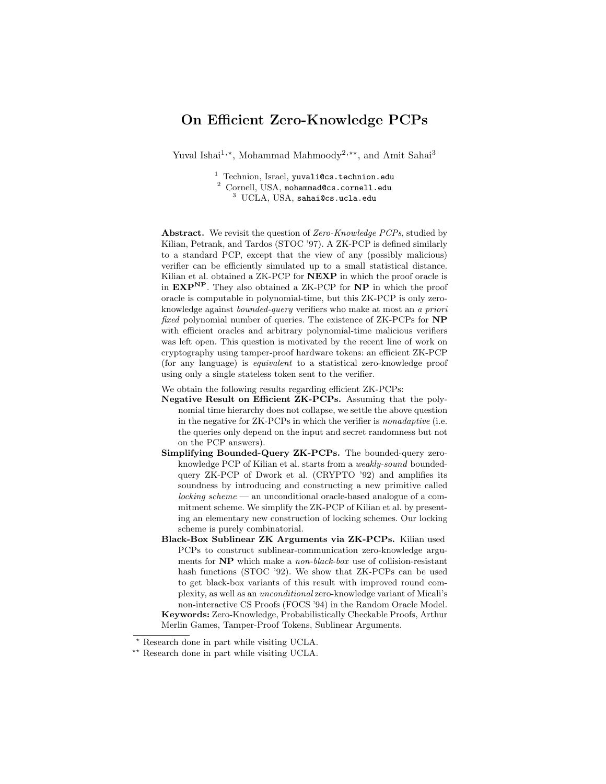# On Efficient Zero-Knowledge PCPs

Yuval Ishai<sup>1,\*</sup>, Mohammad Mahmoody<sup>2,\*\*</sup>, and Amit Sahai<sup>3</sup>

<sup>1</sup> Technion, Israel, yuvali@cs.technion.edu <sup>2</sup> Cornell, USA, mohammad@cs.cornell.edu

<sup>3</sup> UCLA, USA, sahai@cs.ucla.edu

Abstract. We revisit the question of Zero-Knowledge PCPs, studied by Kilian, Petrank, and Tardos (STOC '97). A ZK-PCP is defined similarly to a standard PCP, except that the view of any (possibly malicious) verifier can be efficiently simulated up to a small statistical distance. Kilian et al. obtained a ZK-PCP for **NEXP** in which the proof oracle is in EXPNP. They also obtained a ZK-PCP for NP in which the proof oracle is computable in polynomial-time, but this ZK-PCP is only zeroknowledge against bounded-query verifiers who make at most an a priori fixed polynomial number of queries. The existence of ZK-PCPs for NP with efficient oracles and arbitrary polynomial-time malicious verifiers was left open. This question is motivated by the recent line of work on cryptography using tamper-proof hardware tokens: an efficient ZK-PCP (for any language) is equivalent to a statistical zero-knowledge proof using only a single stateless token sent to the verifier.

We obtain the following results regarding efficient ZK-PCPs:

- Negative Result on Efficient ZK-PCPs. Assuming that the polynomial time hierarchy does not collapse, we settle the above question in the negative for ZK-PCPs in which the verifier is nonadaptive (i.e. the queries only depend on the input and secret randomness but not on the PCP answers).
- Simplifying Bounded-Query ZK-PCPs. The bounded-query zeroknowledge PCP of Kilian et al. starts from a weakly-sound boundedquery ZK-PCP of Dwork et al. (CRYPTO '92) and amplifies its soundness by introducing and constructing a new primitive called locking scheme — an unconditional oracle-based analogue of a commitment scheme. We simplify the ZK-PCP of Kilian et al. by presenting an elementary new construction of locking schemes. Our locking scheme is purely combinatorial.
- Black-Box Sublinear ZK Arguments via ZK-PCPs. Kilian used PCPs to construct sublinear-communication zero-knowledge arguments for NP which make a non-black-box use of collision-resistant hash functions (STOC '92). We show that ZK-PCPs can be used to get black-box variants of this result with improved round complexity, as well as an unconditional zero-knowledge variant of Micali's non-interactive CS Proofs (FOCS '94) in the Random Oracle Model. Keywords: Zero-Knowledge, Probabilistically Checkable Proofs, Arthur

Merlin Games, Tamper-Proof Tokens, Sublinear Arguments.

<sup>?</sup> Research done in part while visiting UCLA.

<sup>\*\*</sup> Research done in part while visiting UCLA.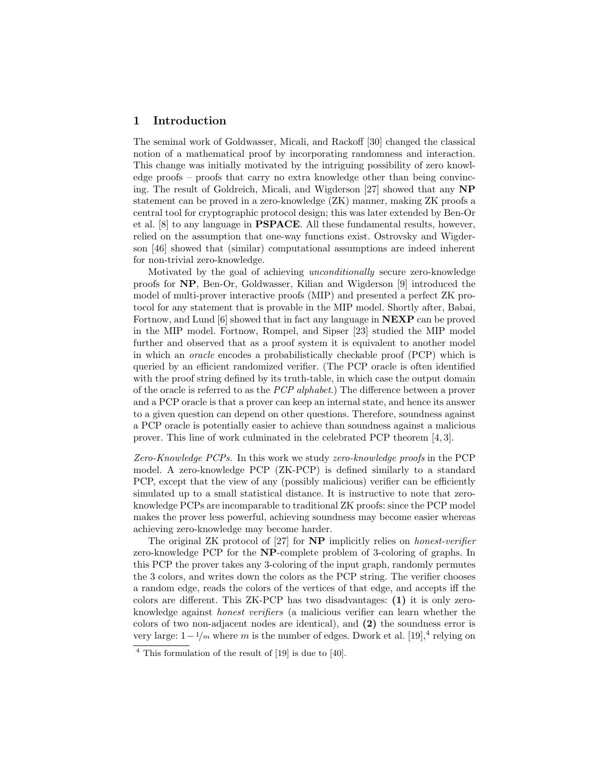## 1 Introduction

The seminal work of Goldwasser, Micali, and Rackoff [30] changed the classical notion of a mathematical proof by incorporating randomness and interaction. This change was initially motivated by the intriguing possibility of zero knowledge proofs – proofs that carry no extra knowledge other than being convincing. The result of Goldreich, Micali, and Wigderson [27] showed that any NP statement can be proved in a zero-knowledge (ZK) manner, making ZK proofs a central tool for cryptographic protocol design; this was later extended by Ben-Or et al. [8] to any language in PSPACE. All these fundamental results, however, relied on the assumption that one-way functions exist. Ostrovsky and Wigderson [46] showed that (similar) computational assumptions are indeed inherent for non-trivial zero-knowledge.

Motivated by the goal of achieving unconditionally secure zero-knowledge proofs for NP, Ben-Or, Goldwasser, Kilian and Wigderson [9] introduced the model of multi-prover interactive proofs (MIP) and presented a perfect ZK protocol for any statement that is provable in the MIP model. Shortly after, Babai, Fortnow, and Lund [6] showed that in fact any language in NEXP can be proved in the MIP model. Fortnow, Rompel, and Sipser [23] studied the MIP model further and observed that as a proof system it is equivalent to another model in which an oracle encodes a probabilistically checkable proof (PCP) which is queried by an efficient randomized verifier. (The PCP oracle is often identified with the proof string defined by its truth-table, in which case the output domain of the oracle is referred to as the PCP alphabet.) The difference between a prover and a PCP oracle is that a prover can keep an internal state, and hence its answer to a given question can depend on other questions. Therefore, soundness against a PCP oracle is potentially easier to achieve than soundness against a malicious prover. This line of work culminated in the celebrated PCP theorem [4, 3].

Zero-Knowledge PCPs. In this work we study zero-knowledge proofs in the PCP model. A zero-knowledge PCP (ZK-PCP) is defined similarly to a standard PCP, except that the view of any (possibly malicious) verifier can be efficiently simulated up to a small statistical distance. It is instructive to note that zeroknowledge PCPs are incomparable to traditional ZK proofs: since the PCP model makes the prover less powerful, achieving soundness may become easier whereas achieving zero-knowledge may become harder.

The original ZK protocol of [27] for NP implicitly relies on honest-verifier zero-knowledge PCP for the NP-complete problem of 3-coloring of graphs. In this PCP the prover takes any 3-coloring of the input graph, randomly permutes the 3 colors, and writes down the colors as the PCP string. The verifier chooses a random edge, reads the colors of the vertices of that edge, and accepts iff the colors are different. This ZK-PCP has two disadvantages: (1) it is only zeroknowledge against honest verifiers (a malicious verifier can learn whether the colors of two non-adjacent nodes are identical), and (2) the soundness error is very large:  $1 - \frac{1}{m}$  where m is the number of edges. Dwork et al. [19],<sup>4</sup> relying on

<sup>4</sup> This formulation of the result of [19] is due to [40].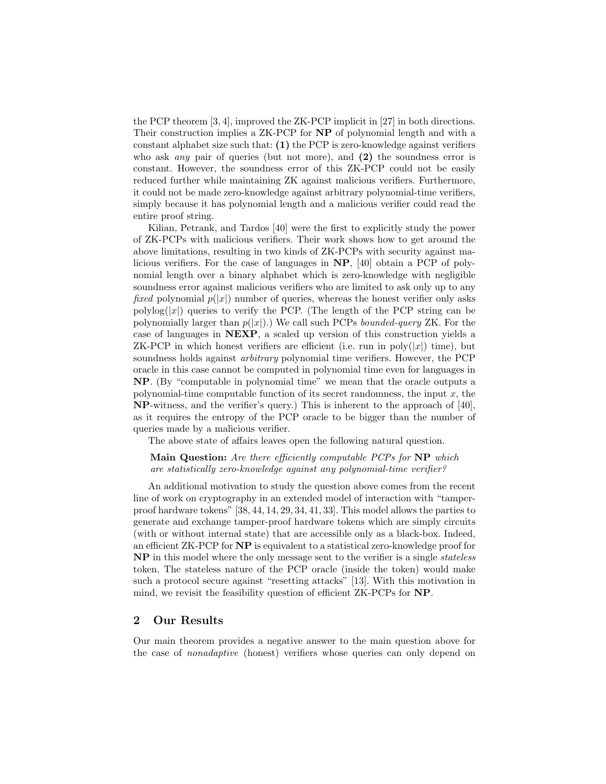the PCP theorem [3, 4], improved the ZK-PCP implicit in [27] in both directions. Their construction implies a ZK-PCP for NP of polynomial length and with a constant alphabet size such that:  $(1)$  the PCP is zero-knowledge against verifiers who ask *any* pair of queries (but not more), and (2) the soundness error is constant. However, the soundness error of this ZK-PCP could not be easily reduced further while maintaining ZK against malicious verifiers. Furthermore, it could not be made zero-knowledge against arbitrary polynomial-time verifiers, simply because it has polynomial length and a malicious verifier could read the entire proof string.

Kilian, Petrank, and Tardos [40] were the first to explicitly study the power of ZK-PCPs with malicious verifiers. Their work shows how to get around the above limitations, resulting in two kinds of ZK-PCPs with security against malicious verifiers. For the case of languages in NP, [40] obtain a PCP of polynomial length over a binary alphabet which is zero-knowledge with negligible soundness error against malicious verifiers who are limited to ask only up to any fixed polynomial  $p(|x|)$  number of queries, whereas the honest verifier only asks polylog( $|x|$ ) queries to verify the PCP. (The length of the PCP string can be polynomially larger than  $p(|x|)$ .) We call such PCPs *bounded-query* ZK. For the case of languages in NEXP, a scaled up version of this construction yields a ZK-PCP in which honest verifiers are efficient (i.e. run in  $poly(|x|)$  time), but soundness holds against *arbitrary* polynomial time verifiers. However, the PCP oracle in this case cannot be computed in polynomial time even for languages in NP. (By "computable in polynomial time" we mean that the oracle outputs a polynomial-time computable function of its secret randomness, the input  $x$ , the NP-witness, and the verifier's query.) This is inherent to the approach of [40], as it requires the entropy of the PCP oracle to be bigger than the number of queries made by a malicious verifier.

The above state of affairs leaves open the following natural question.

Main Question: Are there efficiently computable PCPs for NP which are statistically zero-knowledge against any polynomial-time verifier?

An additional motivation to study the question above comes from the recent line of work on cryptography in an extended model of interaction with "tamperproof hardware tokens" [38, 44, 14, 29, 34, 41, 33]. This model allows the parties to generate and exchange tamper-proof hardware tokens which are simply circuits (with or without internal state) that are accessible only as a black-box. Indeed, an efficient ZK-PCP for NP is equivalent to a statistical zero-knowledge proof for NP in this model where the only message sent to the verifier is a single stateless token. The stateless nature of the PCP oracle (inside the token) would make such a protocol secure against "resetting attacks" [13]. With this motivation in mind, we revisit the feasibility question of efficient ZK-PCPs for NP.

## 2 Our Results

Our main theorem provides a negative answer to the main question above for the case of nonadaptive (honest) verifiers whose queries can only depend on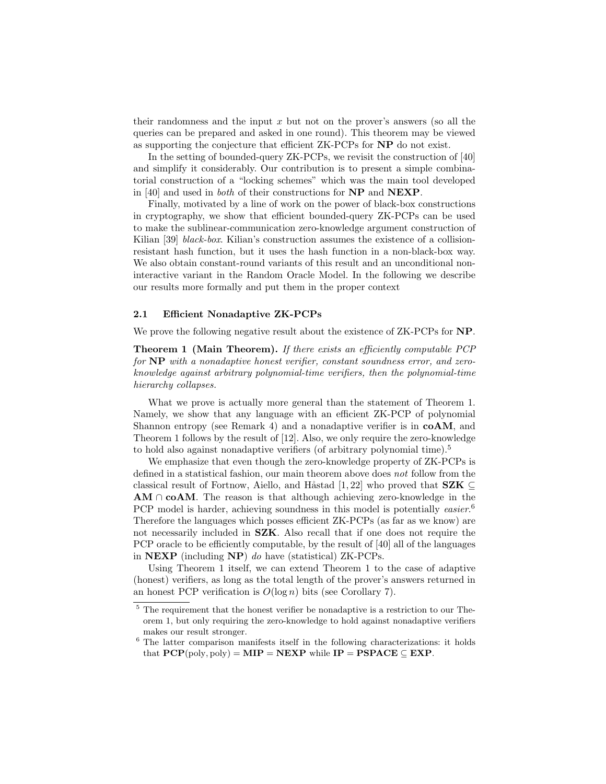their randomness and the input  $x$  but not on the prover's answers (so all the queries can be prepared and asked in one round). This theorem may be viewed as supporting the conjecture that efficient ZK-PCPs for NP do not exist.

In the setting of bounded-query ZK-PCPs, we revisit the construction of [40] and simplify it considerably. Our contribution is to present a simple combinatorial construction of a "locking schemes" which was the main tool developed in [40] and used in both of their constructions for NP and NEXP.

Finally, motivated by a line of work on the power of black-box constructions in cryptography, we show that efficient bounded-query ZK-PCPs can be used to make the sublinear-communication zero-knowledge argument construction of Kilian [39] *black-box*. Kilian's construction assumes the existence of a collisionresistant hash function, but it uses the hash function in a non-black-box way. We also obtain constant-round variants of this result and an unconditional noninteractive variant in the Random Oracle Model. In the following we describe our results more formally and put them in the proper context

## 2.1 Efficient Nonadaptive ZK-PCPs

We prove the following negative result about the existence of ZK-PCPs for NP.

Theorem 1 (Main Theorem). If there exists an efficiently computable PCP for NP with a nonadaptive honest verifier, constant soundness error, and zeroknowledge against arbitrary polynomial-time verifiers, then the polynomial-time hierarchy collapses.

What we prove is actually more general than the statement of Theorem 1. Namely, we show that any language with an efficient ZK-PCP of polynomial Shannon entropy (see Remark 4) and a nonadaptive verifier is in  $coAM$ , and Theorem 1 follows by the result of [12]. Also, we only require the zero-knowledge to hold also against nonadaptive verifiers (of arbitrary polynomial time).<sup>5</sup>

We emphasize that even though the zero-knowledge property of ZK-PCPs is defined in a statistical fashion, our main theorem above does not follow from the classical result of Fortnow, Aiello, and Håstad [1, 22] who proved that  $SZK \subseteq$ AM  $\cap$  coAM. The reason is that although achieving zero-knowledge in the PCP model is harder, achieving soundness in this model is potentially *easier*.<sup>6</sup> Therefore the languages which posses efficient ZK-PCPs (as far as we know) are not necessarily included in SZK. Also recall that if one does not require the PCP oracle to be efficiently computable, by the result of [40] all of the languages in NEXP (including NP) do have (statistical) ZK-PCPs.

Using Theorem 1 itself, we can extend Theorem 1 to the case of adaptive (honest) verifiers, as long as the total length of the prover's answers returned in an honest PCP verification is  $O(\log n)$  bits (see Corollary 7).

 $5$  The requirement that the honest verifier be nonadaptive is a restriction to our Theorem 1, but only requiring the zero-knowledge to hold against nonadaptive verifiers makes our result stronger.

 $6$  The latter comparison manifests itself in the following characterizations: it holds that  $PCP(poly, poly) = MIP = NEXP$  while  $IP = PSPACE \subseteq EXP$ .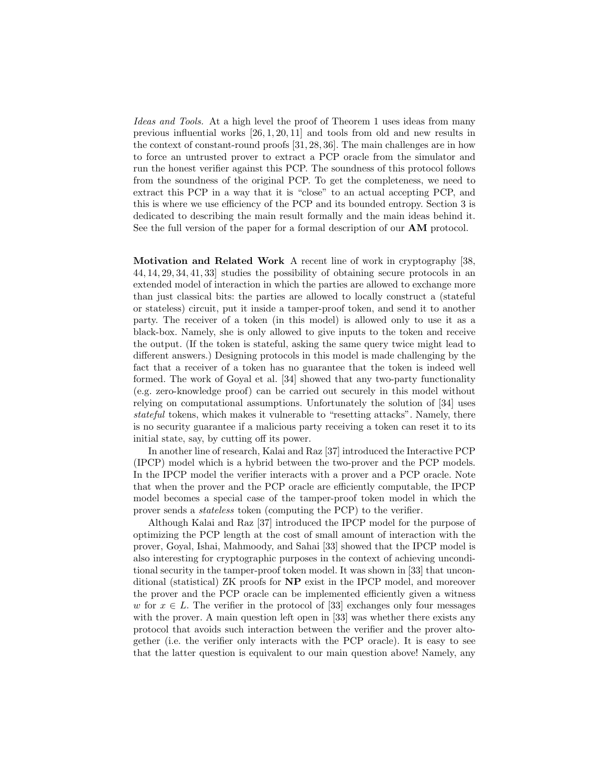Ideas and Tools. At a high level the proof of Theorem 1 uses ideas from many previous influential works [26, 1, 20, 11] and tools from old and new results in the context of constant-round proofs [31, 28, 36]. The main challenges are in how to force an untrusted prover to extract a PCP oracle from the simulator and run the honest verifier against this PCP. The soundness of this protocol follows from the soundness of the original PCP. To get the completeness, we need to extract this PCP in a way that it is "close" to an actual accepting PCP, and this is where we use efficiency of the PCP and its bounded entropy. Section 3 is dedicated to describing the main result formally and the main ideas behind it. See the full version of the paper for a formal description of our AM protocol.

Motivation and Related Work A recent line of work in cryptography [38, 44, 14, 29, 34, 41, 33] studies the possibility of obtaining secure protocols in an extended model of interaction in which the parties are allowed to exchange more than just classical bits: the parties are allowed to locally construct a (stateful or stateless) circuit, put it inside a tamper-proof token, and send it to another party. The receiver of a token (in this model) is allowed only to use it as a black-box. Namely, she is only allowed to give inputs to the token and receive the output. (If the token is stateful, asking the same query twice might lead to different answers.) Designing protocols in this model is made challenging by the fact that a receiver of a token has no guarantee that the token is indeed well formed. The work of Goyal et al. [34] showed that any two-party functionality (e.g. zero-knowledge proof) can be carried out securely in this model without relying on computational assumptions. Unfortunately the solution of [34] uses stateful tokens, which makes it vulnerable to "resetting attacks". Namely, there is no security guarantee if a malicious party receiving a token can reset it to its initial state, say, by cutting off its power.

In another line of research, Kalai and Raz [37] introduced the Interactive PCP (IPCP) model which is a hybrid between the two-prover and the PCP models. In the IPCP model the verifier interacts with a prover and a PCP oracle. Note that when the prover and the PCP oracle are efficiently computable, the IPCP model becomes a special case of the tamper-proof token model in which the prover sends a stateless token (computing the PCP) to the verifier.

Although Kalai and Raz [37] introduced the IPCP model for the purpose of optimizing the PCP length at the cost of small amount of interaction with the prover, Goyal, Ishai, Mahmoody, and Sahai [33] showed that the IPCP model is also interesting for cryptographic purposes in the context of achieving unconditional security in the tamper-proof token model. It was shown in [33] that unconditional (statistical) ZK proofs for NP exist in the IPCP model, and moreover the prover and the PCP oracle can be implemented efficiently given a witness w for  $x \in L$ . The verifier in the protocol of [33] exchanges only four messages with the prover. A main question left open in [33] was whether there exists any protocol that avoids such interaction between the verifier and the prover altogether (i.e. the verifier only interacts with the PCP oracle). It is easy to see that the latter question is equivalent to our main question above! Namely, any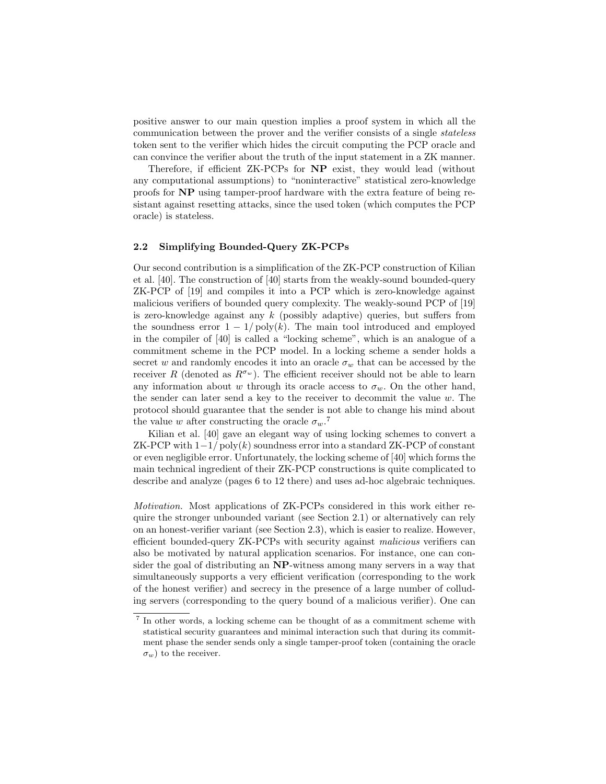positive answer to our main question implies a proof system in which all the communication between the prover and the verifier consists of a single stateless token sent to the verifier which hides the circuit computing the PCP oracle and can convince the verifier about the truth of the input statement in a ZK manner.

Therefore, if efficient ZK-PCPs for NP exist, they would lead (without any computational assumptions) to "noninteractive" statistical zero-knowledge proofs for NP using tamper-proof hardware with the extra feature of being resistant against resetting attacks, since the used token (which computes the PCP oracle) is stateless.

## 2.2 Simplifying Bounded-Query ZK-PCPs

Our second contribution is a simplification of the ZK-PCP construction of Kilian et al. [40]. The construction of [40] starts from the weakly-sound bounded-query ZK-PCP of [19] and compiles it into a PCP which is zero-knowledge against malicious verifiers of bounded query complexity. The weakly-sound PCP of [19] is zero-knowledge against any  $k$  (possibly adaptive) queries, but suffers from the soundness error  $1 - 1/poly(k)$ . The main tool introduced and employed in the compiler of [40] is called a "locking scheme", which is an analogue of a commitment scheme in the PCP model. In a locking scheme a sender holds a secret w and randomly encodes it into an oracle  $\sigma_w$  that can be accessed by the receiver R (denoted as  $R^{\sigma_w}$ ). The efficient receiver should not be able to learn any information about w through its oracle access to  $\sigma_w$ . On the other hand, the sender can later send a key to the receiver to decommit the value  $w$ . The protocol should guarantee that the sender is not able to change his mind about the value w after constructing the oracle  $\sigma_w$ .<sup>7</sup>

Kilian et al. [40] gave an elegant way of using locking schemes to convert a  $ZK-PCP$  with  $1-1/\text{poly}(k)$  soundness error into a standard  $ZK-PCP$  of constant or even negligible error. Unfortunately, the locking scheme of [40] which forms the main technical ingredient of their ZK-PCP constructions is quite complicated to describe and analyze (pages 6 to 12 there) and uses ad-hoc algebraic techniques.

Motivation. Most applications of ZK-PCPs considered in this work either require the stronger unbounded variant (see Section 2.1) or alternatively can rely on an honest-verifier variant (see Section 2.3), which is easier to realize. However, efficient bounded-query ZK-PCPs with security against malicious verifiers can also be motivated by natural application scenarios. For instance, one can consider the goal of distributing an NP-witness among many servers in a way that simultaneously supports a very efficient verification (corresponding to the work of the honest verifier) and secrecy in the presence of a large number of colluding servers (corresponding to the query bound of a malicious verifier). One can

<sup>&</sup>lt;sup>7</sup> In other words, a locking scheme can be thought of as a commitment scheme with statistical security guarantees and minimal interaction such that during its commitment phase the sender sends only a single tamper-proof token (containing the oracle  $\sigma_w$ ) to the receiver.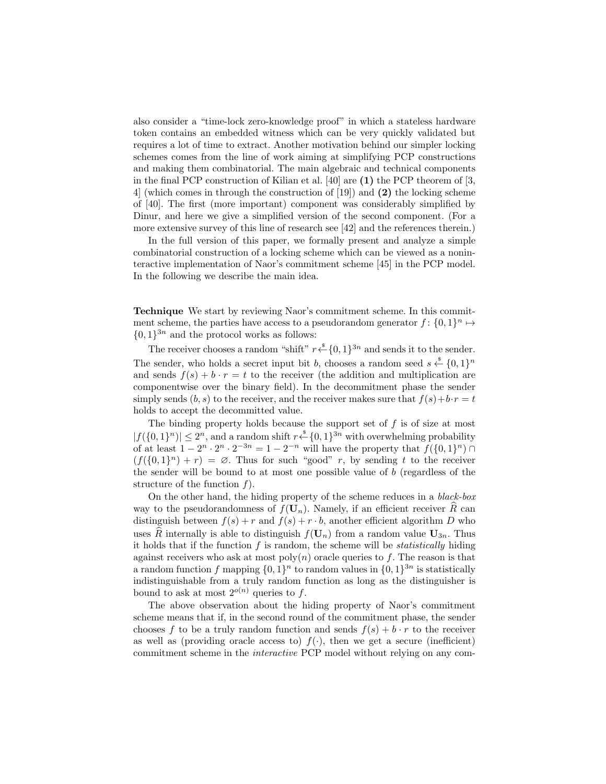also consider a "time-lock zero-knowledge proof" in which a stateless hardware token contains an embedded witness which can be very quickly validated but requires a lot of time to extract. Another motivation behind our simpler locking schemes comes from the line of work aiming at simplifying PCP constructions and making them combinatorial. The main algebraic and technical components in the final PCP construction of Kilian et al.  $[40]$  are  $(1)$  the PCP theorem of  $[3,$ 4] (which comes in through the construction of [19]) and (2) the locking scheme of [40]. The first (more important) component was considerably simplified by Dinur, and here we give a simplified version of the second component. (For a more extensive survey of this line of research see [42] and the references therein.)

In the full version of this paper, we formally present and analyze a simple combinatorial construction of a locking scheme which can be viewed as a noninteractive implementation of Naor's commitment scheme [45] in the PCP model. In the following we describe the main idea.

Technique We start by reviewing Naor's commitment scheme. In this commitment scheme, the parties have access to a pseudorandom generator  $f: \{0,1\}^n \mapsto$  $\{0,1\}^{3n}$  and the protocol works as follows:

The receiver chooses a random "shift"  $r \xleftarrow{\$} \{0,1\}^{3n}$  and sends it to the sender. The sender, who holds a secret input bit b, chooses a random seed  $s \stackrel{\$}{\leftarrow} \{0,1\}^n$ and sends  $f(s) + b \cdot r = t$  to the receiver (the addition and multiplication are componentwise over the binary field). In the decommitment phase the sender simply sends  $(b, s)$  to the receiver, and the receiver makes sure that  $f(s)+b\cdot r = t$ holds to accept the decommitted value.

The binding property holds because the support set of  $f$  is of size at most  $|f({0,1}^n)| \leq 2^n$ , and a random shift  $r \stackrel{\$}{\leftarrow} {0,1}^{3n}$  with overwhelming probability of at least  $1 - 2^n \cdot 2^{n} \cdot 2^{-3n} = 1 - 2^{-n}$  will have the property that  $f(\{0,1\}^n) \cap$  $(f({0,1}^n) + r) = \emptyset$ . Thus for such "good" r, by sending t to the receiver the sender will be bound to at most one possible value of  $b$  (regardless of the structure of the function  $f$ ).

On the other hand, the hiding property of the scheme reduces in a black-box way to the pseudorandomness of  $f(\mathbf{U}_n)$ . Namely, if an efficient receiver R can distinguish between  $f(s) + r$  and  $f(s) + r \cdot b$ , another efficient algorithm D who uses  $\widehat{R}$  internally is able to distinguish  $f(\mathbf{U}_n)$  from a random value  $\mathbf{U}_{3n}$ . Thus it holds that if the function  $f$  is random, the scheme will be *statistically* hiding against receivers who ask at most  $poly(n)$  oracle queries to f. The reason is that a random function f mapping  $\{0,1\}^n$  to random values in  $\{0,1\}^{3n}$  is statistically indistinguishable from a truly random function as long as the distinguisher is bound to ask at most  $2^{o(n)}$  queries to f.

The above observation about the hiding property of Naor's commitment scheme means that if, in the second round of the commitment phase, the sender chooses f to be a truly random function and sends  $f(s) + b \cdot r$  to the receiver as well as (providing oracle access to)  $f(\cdot)$ , then we get a secure (inefficient) commitment scheme in the interactive PCP model without relying on any com-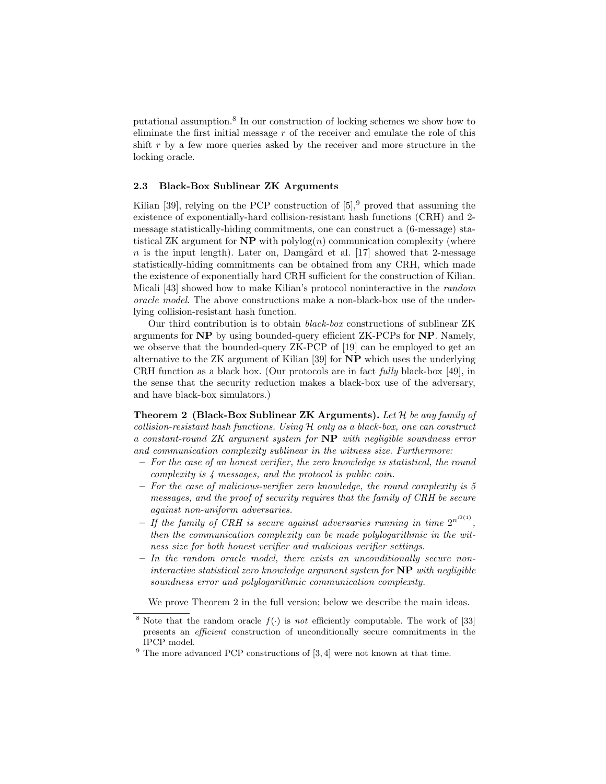putational assumption.<sup>8</sup> In our construction of locking schemes we show how to eliminate the first initial message r of the receiver and emulate the role of this shift r by a few more queries asked by the receiver and more structure in the locking oracle.

## 2.3 Black-Box Sublinear ZK Arguments

Kilian [39], relying on the PCP construction of  $[5]$ , proved that assuming the existence of exponentially-hard collision-resistant hash functions (CRH) and 2 message statistically-hiding commitments, one can construct a (6-message) statistical ZK argument for  $NP$  with  $polylog(n)$  communication complexity (where n is the input length). Later on, Damgård et al.  $|17|$  showed that 2-message statistically-hiding commitments can be obtained from any CRH, which made the existence of exponentially hard CRH sufficient for the construction of Kilian. Micali [43] showed how to make Kilian's protocol noninteractive in the random oracle model. The above constructions make a non-black-box use of the underlying collision-resistant hash function.

Our third contribution is to obtain black-box constructions of sublinear ZK arguments for NP by using bounded-query efficient ZK-PCPs for NP. Namely, we observe that the bounded-query ZK-PCP of [19] can be employed to get an alternative to the ZK argument of Kilian [39] for NP which uses the underlying CRH function as a black box. (Our protocols are in fact fully black-box [49], in the sense that the security reduction makes a black-box use of the adversary, and have black-box simulators.)

**Theorem 2 (Black-Box Sublinear ZK Arguments).** Let  $\mathcal{H}$  be any family of  $collision-resistant$  hash functions. Using  $H$  only as a black-box, one can construct a constant-round ZK argument system for NP with negligible soundness error and communication complexity sublinear in the witness size. Furthermore:

- For the case of an honest verifier, the zero knowledge is statistical, the round complexity is 4 messages, and the protocol is public coin.
- For the case of malicious-verifier zero knowledge, the round complexity is 5 messages, and the proof of security requires that the family of CRH be secure against non-uniform adversaries.
- If the family of CRH is secure against adversaries running in time  $2^{n^{\Omega(1)}}$ , then the communication complexity can be made polylogarithmic in the witness size for both honest verifier and malicious verifier settings.
- In the random oracle model, there exists an unconditionally secure noninteractive statistical zero knowledge argument system for  $\bf NP$  with negligible soundness error and polylogarithmic communication complexity.

We prove Theorem 2 in the full version; below we describe the main ideas.

<sup>&</sup>lt;sup>8</sup> Note that the random oracle  $f(.)$  is not efficiently computable. The work of [33] presents an efficient construction of unconditionally secure commitments in the IPCP model.

 $9$  The more advanced PCP constructions of [3, 4] were not known at that time.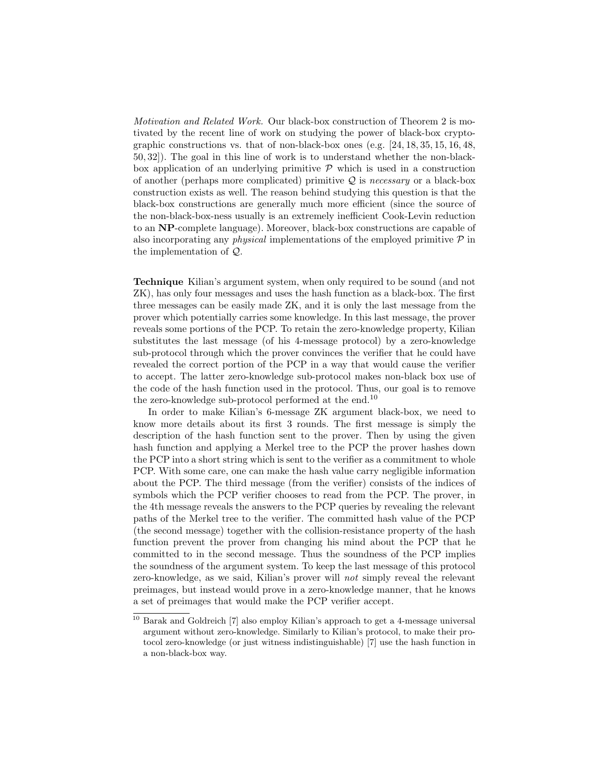Motivation and Related Work. Our black-box construction of Theorem 2 is motivated by the recent line of work on studying the power of black-box cryptographic constructions vs. that of non-black-box ones (e.g. [24, 18, 35, 15, 16, 48, 50, 32]). The goal in this line of work is to understand whether the non-blackbox application of an underlying primitive  $P$  which is used in a construction of another (perhaps more complicated) primitive  $Q$  is necessary or a black-box construction exists as well. The reason behind studying this question is that the black-box constructions are generally much more efficient (since the source of the non-black-box-ness usually is an extremely inefficient Cook-Levin reduction to an NP-complete language). Moreover, black-box constructions are capable of also incorporating any *physical* implementations of the employed primitive  $P$  in the implementation of Q.

Technique Kilian's argument system, when only required to be sound (and not ZK), has only four messages and uses the hash function as a black-box. The first three messages can be easily made ZK, and it is only the last message from the prover which potentially carries some knowledge. In this last message, the prover reveals some portions of the PCP. To retain the zero-knowledge property, Kilian substitutes the last message (of his 4-message protocol) by a zero-knowledge sub-protocol through which the prover convinces the verifier that he could have revealed the correct portion of the PCP in a way that would cause the verifier to accept. The latter zero-knowledge sub-protocol makes non-black box use of the code of the hash function used in the protocol. Thus, our goal is to remove the zero-knowledge sub-protocol performed at the end.<sup>10</sup>

In order to make Kilian's 6-message ZK argument black-box, we need to know more details about its first 3 rounds. The first message is simply the description of the hash function sent to the prover. Then by using the given hash function and applying a Merkel tree to the PCP the prover hashes down the PCP into a short string which is sent to the verifier as a commitment to whole PCP. With some care, one can make the hash value carry negligible information about the PCP. The third message (from the verifier) consists of the indices of symbols which the PCP verifier chooses to read from the PCP. The prover, in the 4th message reveals the answers to the PCP queries by revealing the relevant paths of the Merkel tree to the verifier. The committed hash value of the PCP (the second message) together with the collision-resistance property of the hash function prevent the prover from changing his mind about the PCP that he committed to in the second message. Thus the soundness of the PCP implies the soundness of the argument system. To keep the last message of this protocol zero-knowledge, as we said, Kilian's prover will not simply reveal the relevant preimages, but instead would prove in a zero-knowledge manner, that he knows a set of preimages that would make the PCP verifier accept.

 $^{10}$  Barak and Goldreich [7] also employ Kilian's approach to get a 4-message universal argument without zero-knowledge. Similarly to Kilian's protocol, to make their protocol zero-knowledge (or just witness indistinguishable) [7] use the hash function in a non-black-box way.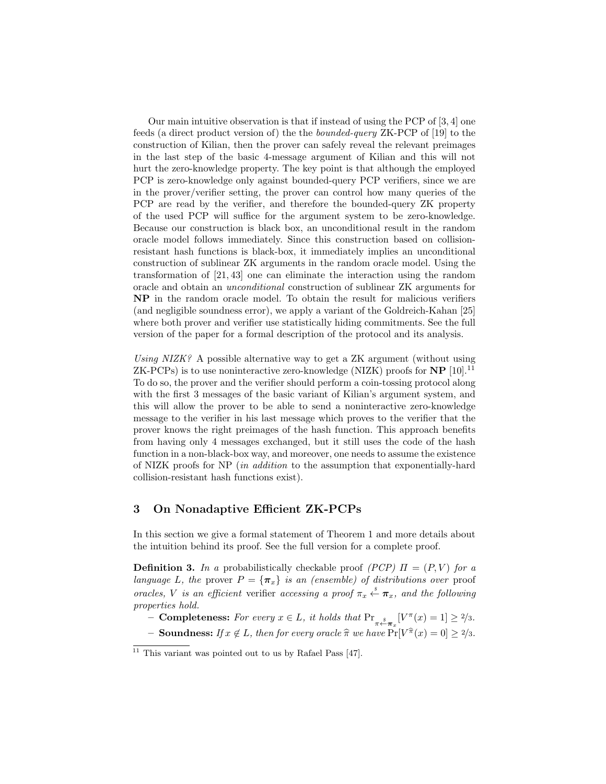Our main intuitive observation is that if instead of using the PCP of [3, 4] one feeds (a direct product version of) the the bounded-query ZK-PCP of [19] to the construction of Kilian, then the prover can safely reveal the relevant preimages in the last step of the basic 4-message argument of Kilian and this will not hurt the zero-knowledge property. The key point is that although the employed PCP is zero-knowledge only against bounded-query PCP verifiers, since we are in the prover/verifier setting, the prover can control how many queries of the PCP are read by the verifier, and therefore the bounded-query ZK property of the used PCP will suffice for the argument system to be zero-knowledge. Because our construction is black box, an unconditional result in the random oracle model follows immediately. Since this construction based on collisionresistant hash functions is black-box, it immediately implies an unconditional construction of sublinear ZK arguments in the random oracle model. Using the transformation of [21, 43] one can eliminate the interaction using the random oracle and obtain an unconditional construction of sublinear ZK arguments for NP in the random oracle model. To obtain the result for malicious verifiers (and negligible soundness error), we apply a variant of the Goldreich-Kahan [25] where both prover and verifier use statistically hiding commitments. See the full version of the paper for a formal description of the protocol and its analysis.

Using NIZK? A possible alternative way to get a ZK argument (without using  $ZK-PCPs$ ) is to use noninteractive zero-knowledge (NIZK) proofs for  $NP$  [10].<sup>11</sup> To do so, the prover and the verifier should perform a coin-tossing protocol along with the first 3 messages of the basic variant of Kilian's argument system, and this will allow the prover to be able to send a noninteractive zero-knowledge message to the verifier in his last message which proves to the verifier that the prover knows the right preimages of the hash function. This approach benefits from having only 4 messages exchanged, but it still uses the code of the hash function in a non-black-box way, and moreover, one needs to assume the existence of NIZK proofs for NP (in addition to the assumption that exponentially-hard collision-resistant hash functions exist).

# 3 On Nonadaptive Efficient ZK-PCPs

In this section we give a formal statement of Theorem 1 and more details about the intuition behind its proof. See the full version for a complete proof.

**Definition 3.** In a probabilistically checkable proof (PCP)  $\Pi = (P, V)$  for a language L, the prover  $P = {\pi_x}$  is an (ensemble) of distributions over proof oracles, V is an efficient verifier accessing a proof  $\pi_x \stackrel{s}{\leftarrow} \pi_x$ , and the following properties hold.

- **Completeness:** For every  $x \in L$ , it holds that  $Pr_{\pi \stackrel{s}{\leftarrow} \pi_x} [V^{\pi}(x) = 1] \geq \frac{2}{3}$ .
- **Soundness:** If  $x \notin L$ , then for every oracle  $\hat{\pi}$  we have  $Pr[V^{\hat{\pi}}(x) = 0] \geq \frac{2}{3}$ .

 $11$  This variant was pointed out to us by Rafael Pass [47].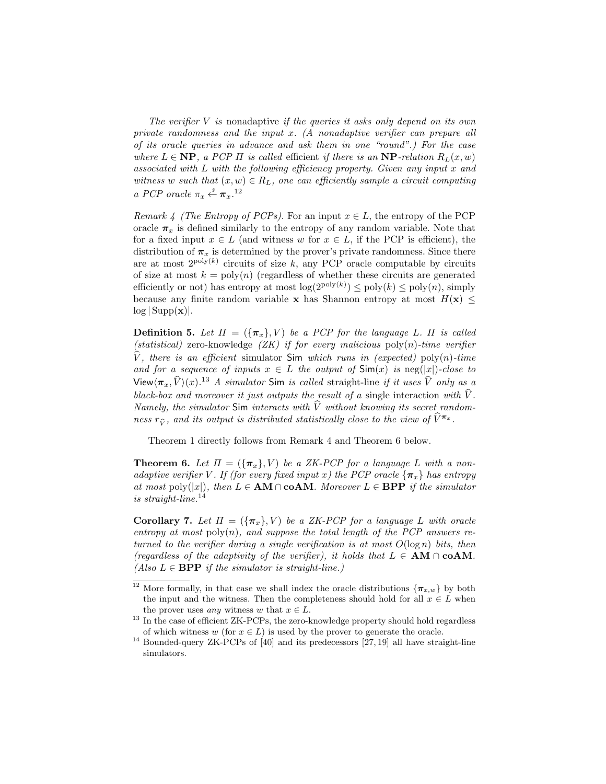The verifier  $V$  is nonadaptive if the queries it asks only depend on its own private randomness and the input x. (A nonadaptive verifier can prepare all of its oracle queries in advance and ask them in one "round".) For the case where  $L \in \mathbf{NP}$ , a PCP  $\Pi$  is called efficient if there is an **NP**-relation  $R_L(x, w)$ associated with L with the following efficiency property. Given any input x and witness w such that  $(x, w) \in R_L$ , one can efficiently sample a circuit computing a PCP oracle  $\pi_x \overset{\hspace{0.1em}\mathsf{\scriptscriptstyle\$}}{\leftarrow} \pi_x$ .<sup>12</sup>

Remark 4 (The Entropy of PCPs). For an input  $x \in L$ , the entropy of the PCP oracle  $\pi_x$  is defined similarly to the entropy of any random variable. Note that for a fixed input  $x \in L$  (and witness w for  $x \in L$ , if the PCP is efficient), the distribution of  $\pi_x$  is determined by the prover's private randomness. Since there are at most  $2^{poly(k)}$  circuits of size k, any PCP oracle computable by circuits of size at most  $k = \text{poly}(n)$  (regardless of whether these circuits are generated efficiently or not) has entropy at most  $\log(2^{\text{poly}(k)}) \leq \text{poly}(k) \leq \text{poly}(n)$ , simply because any finite random variable x has Shannon entropy at most  $H(x) \leq$  $\log |\text{Supp}(\mathbf{x})|.$ 

**Definition 5.** Let  $\Pi = (\{\pi_x\}, V)$  be a PCP for the language L.  $\Pi$  is called (statistical) zero-knowledge  $(ZK)$  if for every malicious poly $(n)$ -time verifier  $\hat{V}$ , there is an efficient simulator Sim which runs in (expected) poly(n)-time and for a sequence of inputs  $x \in L$  the output of  $\text{Sim}(x)$  is  $\text{neg}(|x|)$ -close to View $\langle \pi_x, \hat{V} \rangle (x)$ .<sup>13</sup> A simulator Sim is called straight-line if it uses  $\hat{V}$  only as a black-box and moreover it just outputs the result of a single interaction with  $\hat{V}$ . Namely, the simulator Sim interacts with  $\hat{V}$  without knowing its secret randomness  $r_{\hat{V}}$ , and its output is distributed statistically close to the view of  $\hat{V}^{\pi_x}$ .

Theorem 1 directly follows from Remark 4 and Theorem 6 below.

**Theorem 6.** Let  $\Pi = (\{\pi_x\}, V)$  be a ZK-PCP for a language L with a nonadaptive verifier V. If (for every fixed input x) the PCP oracle  $\{\pi_x\}$  has entropy at most poly $(|x|)$ , then  $L \in AM \cap coAM$ . Moreover  $L \in BPP$  if the simulator is straight-line. $^{14}$ 

Corollary 7. Let  $\Pi = (\{\pi_x\}, V)$  be a ZK-PCP for a language L with oracle entropy at most  $poly(n)$ , and suppose the total length of the PCP answers returned to the verifier during a single verification is at most  $O(\log n)$  bits, then (regardless of the adaptivity of the verifier), it holds that  $L \in AM \cap coAM$ . (Also  $L \in \mathbf{BPP}$  if the simulator is straight-line.)

<sup>&</sup>lt;sup>12</sup> More formally, in that case we shall index the oracle distributions  $\{\pi_{x,w}\}$  by both the input and the witness. Then the completeness should hold for all  $x \in L$  when the prover uses any witness w that  $x \in L$ .

<sup>&</sup>lt;sup>13</sup> In the case of efficient ZK-PCPs, the zero-knowledge property should hold regardless of which witness w (for  $x \in L$ ) is used by the prover to generate the oracle.

 $^{14}$  Bounded-query ZK-PCPs of  $\left[40\right]$  and its predecessors  $\left[27,19\right]$  all have straight-line simulators.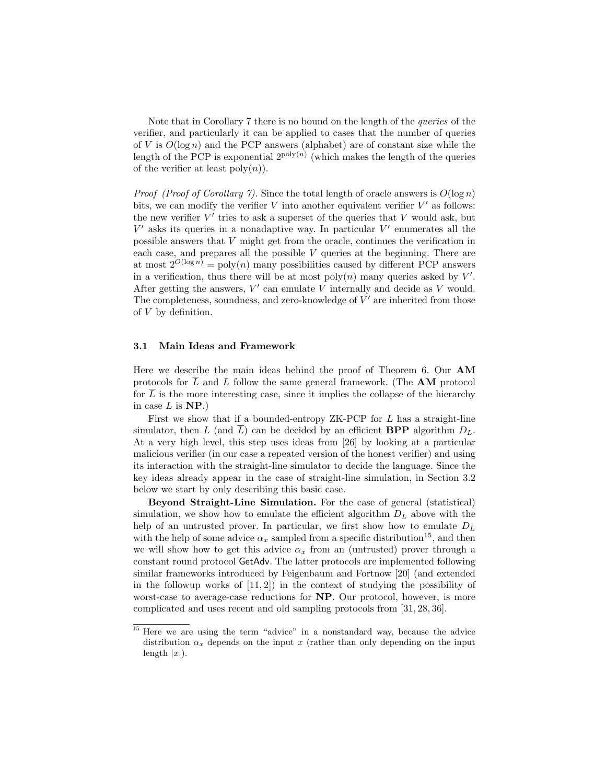Note that in Corollary 7 there is no bound on the length of the queries of the verifier, and particularly it can be applied to cases that the number of queries of V is  $O(\log n)$  and the PCP answers (alphabet) are of constant size while the length of the PCP is exponential  $2^{poly(n)}$  (which makes the length of the queries of the verifier at least  $\text{poly}(n)$ .

*Proof (Proof of Corollary 7).* Since the total length of oracle answers is  $O(\log n)$ bits, we can modify the verifier  $V$  into another equivalent verifier  $V'$  as follows: the new verifier  $V'$  tries to ask a superset of the queries that  $V$  would ask, but  $V'$  asks its queries in a nonadaptive way. In particular  $V'$  enumerates all the possible answers that V might get from the oracle, continues the verification in each case, and prepares all the possible  $V$  queries at the beginning. There are at most  $2^{O(\log n)} = \text{poly}(n)$  many possibilities caused by different PCP answers in a verification, thus there will be at most  $poly(n)$  many queries asked by  $V'$ . After getting the answers,  $V'$  can emulate V internally and decide as V would. The completeness, soundness, and zero-knowledge of  $V'$  are inherited from those of V by definition.

#### 3.1 Main Ideas and Framework

Here we describe the main ideas behind the proof of Theorem 6. Our AM protocols for  $\overline{L}$  and L follow the same general framework. (The **AM** protocol for  $\overline{L}$  is the more interesting case, since it implies the collapse of the hierarchy in case  $L$  is  $NP.$ )

First we show that if a bounded-entropy ZK-PCP for L has a straight-line simulator, then L (and  $\overline{L}$ ) can be decided by an efficient **BPP** algorithm  $D_L$ . At a very high level, this step uses ideas from [26] by looking at a particular malicious verifier (in our case a repeated version of the honest verifier) and using its interaction with the straight-line simulator to decide the language. Since the key ideas already appear in the case of straight-line simulation, in Section 3.2 below we start by only describing this basic case.

Beyond Straight-Line Simulation. For the case of general (statistical) simulation, we show how to emulate the efficient algorithm  $D_L$  above with the help of an untrusted prover. In particular, we first show how to emulate  $D_L$ with the help of some advice  $\alpha_x$  sampled from a specific distribution<sup>15</sup>, and then we will show how to get this advice  $\alpha_x$  from an (untrusted) prover through a constant round protocol GetAdv. The latter protocols are implemented following similar frameworks introduced by Feigenbaum and Fortnow [20] (and extended in the followup works of  $[11, 2]$  in the context of studying the possibility of worst-case to average-case reductions for NP. Our protocol, however, is more complicated and uses recent and old sampling protocols from [31, 28, 36].

<sup>&</sup>lt;sup>15</sup> Here we are using the term "advice" in a nonstandard way, because the advice distribution  $\alpha_x$  depends on the input x (rather than only depending on the input length  $|x|$ ).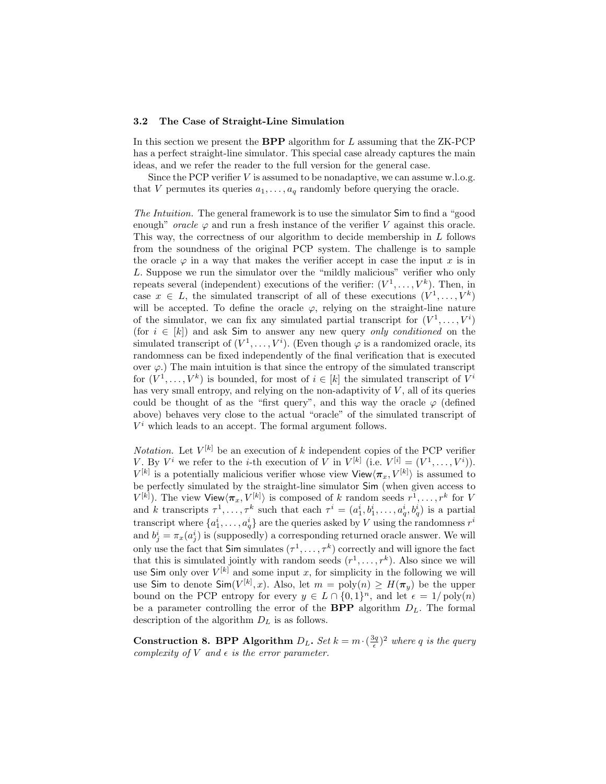## 3.2 The Case of Straight-Line Simulation

In this section we present the **BPP** algorithm for  $L$  assuming that the  $ZK-PCP$ has a perfect straight-line simulator. This special case already captures the main ideas, and we refer the reader to the full version for the general case.

Since the PCP verifier  $V$  is assumed to be nonadaptive, we can assume w.l.o.g. that V permutes its queries  $a_1, \ldots, a_q$  randomly before querying the oracle.

The Intuition. The general framework is to use the simulator Sim to find a "good enough" *oracle*  $\varphi$  and run a fresh instance of the verifier V against this oracle. This way, the correctness of our algorithm to decide membership in L follows from the soundness of the original PCP system. The challenge is to sample the oracle  $\varphi$  in a way that makes the verifier accept in case the input x is in L. Suppose we run the simulator over the "mildly malicious" verifier who only repeats several (independent) executions of the verifier:  $(V^1, \ldots, V^k)$ . Then, in case  $x \in L$ , the simulated transcript of all of these executions  $(V^1, \ldots, V^k)$ will be accepted. To define the oracle  $\varphi$ , relying on the straight-line nature of the simulator, we can fix any simulated partial transcript for  $(V^1, \ldots, V^i)$ (for  $i \in [k]$ ) and ask Sim to answer any new query only conditioned on the simulated transcript of  $(V^1, \ldots, V^i)$ . (Even though  $\varphi$  is a randomized oracle, its randomness can be fixed independently of the final verification that is executed over  $\varphi$ .) The main intuition is that since the entropy of the simulated transcript for  $(V^1, \ldots, V^k)$  is bounded, for most of  $i \in [k]$  the simulated transcript of  $V^i$ has very small entropy, and relying on the non-adaptivity of  $V$ , all of its queries could be thought of as the "first query", and this way the oracle  $\varphi$  (defined above) behaves very close to the actual "oracle" of the simulated transcript of  $V^i$  which leads to an accept. The formal argument follows.

*Notation*. Let  $V^{[k]}$  be an execution of k independent copies of the PCP verifier V. By  $V^i$  we refer to the *i*-th execution of V in  $V^{[k]}$  (i.e.  $V^{[i]} = (V^1, \ldots, V^i)$ ).  $V^{[k]}$  is a potentially malicious verifier whose view  $\mathsf{View}\langle \pi_x, V^{[k]} \rangle$  is assumed to be perfectly simulated by the straight-line simulator Sim (when given access to  $V^{[k]}$ ). The view View $\langle \pi_x, V^{[k]} \rangle$  is composed of k random seeds  $r^1, \ldots, r^k$  for V and k transcripts  $\tau^1, \ldots, \tau^k$  such that each  $\tau^i = (a_1^i, b_1^i, \ldots, a_q^i, b_q^i)$  is a partial transcript where  $\{a_1^i, \ldots, a_q^i\}$  are the queries asked by V using the randomness  $r^i$ and  $b_j^i = \pi_x(a_j^i)$  is (supposedly) a corresponding returned oracle answer. We will only use the fact that  $Sim$  simulates  $(\tau^1, \ldots, \tau^k)$  correctly and will ignore the fact that this is simulated jointly with random seeds  $(r^1, \ldots, r^k)$ . Also since we will use Sim only over  $V^{[k]}$  and some input x, for simplicity in the following we will use Sim to denote Sim $(V^{[k]}, x)$ . Also, let  $m = \text{poly}(n) \geq H(\pi_y)$  be the upper bound on the PCP entropy for every  $y \in L \cap \{0,1\}^n$ , and let  $\epsilon = 1/\text{poly}(n)$ be a parameter controlling the error of the **BPP** algorithm  $D<sub>L</sub>$ . The formal description of the algorithm  $D_L$  is as follows.

**Construction 8. BPP Algorithm**  $D_L$ . Set  $k = m \cdot (\frac{3q}{\epsilon})^2$  where q is the query complexity of V and  $\epsilon$  is the error parameter.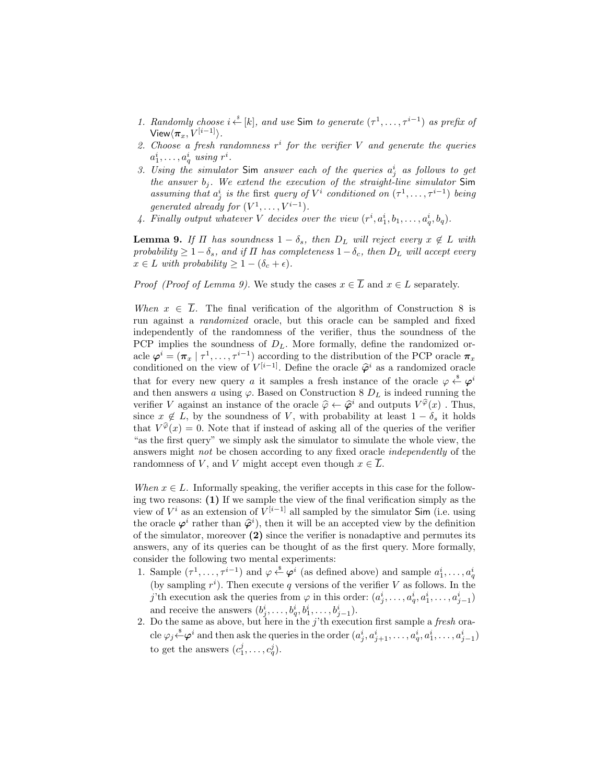- 1. Randomly choose  $i \stackrel{s}{\leftarrow} [k]$ , and use Sim to generate  $(\tau^1, \ldots, \tau^{i-1})$  as prefix of View $\langle \pi_x, V^{[i-1]}\rangle$ .
- 2. Choose a fresh randomness  $r^i$  for the verifier V and generate the queries  $a_1^i, \ldots, a_q^i$  using  $r^i$ .
- 3. Using the simulator Sim answer each of the queries  $a_j^i$  as follows to get the answer  $b_i$ . We extend the execution of the straight-line simulator Sim assuming that  $a_j^i$  is the first query of  $V^i$  conditioned on  $(\tau^1, \ldots, \tau^{i-1})$  being generated already for  $(V^1, \ldots, V^{i-1})$ .
- 4. Finally output whatever V decides over the view  $(r^i, a_1^i, b_1, \ldots, a_q^i, b_q)$ .

**Lemma 9.** If  $\Pi$  has soundness  $1 - \delta_s$ , then  $D_L$  will reject every  $x \notin L$  with probability  $\geq 1-\delta_s$ , and if  $\Pi$  has completeness  $1-\delta_c$ , then  $D_L$  will accept every  $x \in L$  with probability  $\geq 1 - (\delta_c + \epsilon)$ .

*Proof (Proof of Lemma 9).* We study the cases  $x \in \overline{L}$  and  $x \in L$  separately.

When  $x \in \overline{L}$ . The final verification of the algorithm of Construction 8 is run against a randomized oracle, but this oracle can be sampled and fixed independently of the randomness of the verifier, thus the soundness of the PCP implies the soundness of  $D<sub>L</sub>$ . More formally, define the randomized oracle  $\boldsymbol{\varphi}^i = (\boldsymbol{\pi}_x \mid \tau^1, \dots, \tau^{i-1})$  according to the distribution of the PCP oracle  $\boldsymbol{\pi}_x$ conditioned on the view of  $V^{[i-1]}$ . Define the oracle  $\hat{\varphi}^i$  as a randomized oracle that for every new query a it samples a fresh instance of the oracle  $\varphi \stackrel{\hspace{0.1em}\mathsf{\scriptscriptstyle\$}}{\leftarrow} \varphi^i$ and then answers a using  $\varphi$ . Based on Construction 8  $D<sub>L</sub>$  is indeed running the verifier V against an instance of the oracle  $\hat{\varphi} \leftarrow \hat{\varphi}^i$  and outputs  $V^{\hat{\varphi}}(x)$ . Thus, since  $x \notin L$ , by the soundness of V, with probability at least  $1 - \delta_s$  it holds that  $V^{\hat{\varphi}}(x) = 0$ . Note that if instead of asking all of the queries of the verifier "as the first query" we simply ask the simulator to simulate the whole view, the answers might not be chosen according to any fixed oracle independently of the randomness of V, and V might accept even though  $x \in \overline{L}$ .

When  $x \in L$ . Informally speaking, the verifier accepts in this case for the following two reasons: (1) If we sample the view of the final verification simply as the view of  $V^i$  as an extension of  $V^{[i-1]}$  all sampled by the simulator Sim (i.e. using the oracle  $\varphi^i$  rather than  $\hat{\varphi}^i$ ), then it will be an accepted view by the definition<br>of the simulator moreover (2) since the verifier is nonedaptive and permutes its of the simulator, moreover  $(2)$  since the verifier is nonadaptive and permutes its answers, any of its queries can be thought of as the first query. More formally, consider the following two mental experiments:

- 1. Sample  $(\tau^1, \ldots, \tau^{i-1})$  and  $\varphi \stackrel{\hspace{0.1em}\mathsf{\scriptscriptstyle\$}}{\leftarrow} \varphi^i$  (as defined above) and sample  $a_1^i, \ldots, a_q^i$ (by sampling  $r^i$ ). Then execute q versions of the verifier V as follows. In the j'th execution ask the queries from  $\varphi$  in this order:  $(a_j^i, \ldots, a_q^i, a_1^i, \ldots, a_{j-1}^i)$ and receive the answers  $(b_j^i, \ldots, b_q^i, b_1^i, \ldots, b_{j-1}^i)$ .
- 2. Do the same as above, but here in the  $j'$ <sup>th</sup> execution first sample a *fresh* ora- ${\rm cle}\,\varphi_j\!\stackrel{\hspace{0.1em}\mathsf{\scriptscriptstyle\$}}{\leftarrow}\!\varphi^i\text{ and then ask the queries in the order } (a_j^i, a_{j+1}^i, \ldots, a_q^i, a_1^i, \ldots, a_{j-1}^i)$ to get the answers  $(c_1^j, \ldots, c_q^j)$ .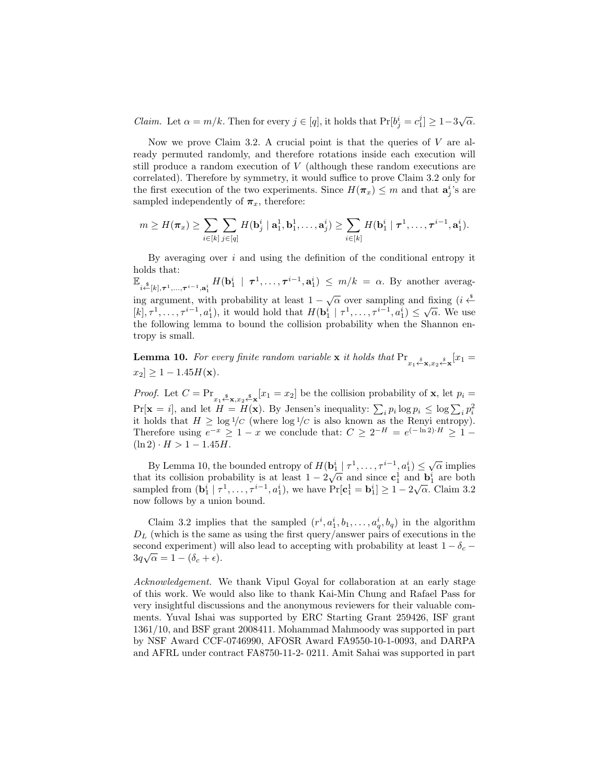*Claim.* Let  $\alpha = m/k$ . Then for every  $j \in [q]$ , it holds that  $Pr[b_j^i = c_1^j] \ge 1 - 3\sqrt{\alpha}$ .

Now we prove Claim 3.2. A crucial point is that the queries of  $V$  are already permuted randomly, and therefore rotations inside each execution will still produce a random execution of V (although these random executions are correlated). Therefore by symmetry, it would suffice to prove Claim 3.2 only for the first execution of the two experiments. Since  $H(\pi_x) \leq m$  and that  $a_j^i$ 's are sampled independently of  $\pi_x$ , therefore:

$$
m \geq H(\boldsymbol{\pi}_x) \geq \sum_{i \in [k]} \sum_{j \in [q]} H(\mathbf{b}_j^i \mid \mathbf{a}_1^1, \mathbf{b}_1^1, \dots, \mathbf{a}_j^i) \geq \sum_{i \in [k]} H(\mathbf{b}_1^i \mid \boldsymbol{\tau}^1, \dots, \boldsymbol{\tau}^{i-1}, \mathbf{a}_1^i).
$$

By averaging over  $i$  and using the definition of the conditional entropy it holds that:

 $\mathbb{E}_{i \leftarrow [k], \tau^1, \dots, \tau^{i-1}, \mathbf{a}_1^i} H(\mathbf{b}_1^i \mid \tau^1, \dots, \tau^{i-1}, \mathbf{a}_1^i) \leq m/k = \alpha$ . By another averaging argument, with probability at least  $1 - \sqrt{\alpha}$  over sampling and fixing  $(i \stackrel{\$}{\leftarrow} \frac{1}{\alpha} + i \stackrel{\rightarrow}{\leftarrow} \frac{1}{\alpha} + j \stackrel{\rightarrow}{\leftarrow} \frac{1}{\alpha} + j \stackrel{\rightarrow}{\leftarrow} \frac{1}{\alpha} + j \stackrel{\rightarrow}{\leftarrow} \frac{1}{\alpha} + j \stackrel{\rightarrow}{\leftarrow} \frac{1}{\alpha} + j \stackrel{\rightarrow}{\leftarrow} \frac{1}{\alpha} + j \stackrel{\$  $[k], \tau^1, \ldots, \tau^{i-1}, a_1^i$ , it would hold that  $H(\mathbf{b}_1^i | \tau^1, \ldots, \tau^{i-1}, a_1^i) \leq \sqrt{\alpha}$ . We use the following lemma to bound the collision probability when the Shannon entropy is small.

**Lemma 10.** For every finite random variable **x** it holds that  $Pr_{x_1 \stackrel{s}{\leftarrow} \mathbf{x}, x_2 \stackrel{s}{\leftarrow} \mathbf{x}}[x_1 =$  $|x_2| \geq 1 - 1.45H(\mathbf{x}).$ 

*Proof.* Let  $C = \Pr_{x_1 \leftarrow \mathbf{x}, x_2 \leftarrow \mathbf{x}} [x_1 = x_2]$  be the collision probability of **x**, let  $p_i =$  $Pr[\mathbf{x} = i]$ , and let  $H = H(\mathbf{x})$ . By Jensen's inequality:  $\sum_i p_i \log p_i \leq \log \sum_i p_i^2$ it holds that  $H \geq \log 1/C$  (where  $\log 1/C$  is also known as the Renyi entropy). Therefore using  $e^{-x} \geq 1-x$  we conclude that:  $C \geq 2^{-H} = e^{(-\ln 2) \cdot H} \geq 1 (\ln 2) \cdot H > 1 - 1.45H$ .

By Lemma 10, the bounded entropy of  $H(\mathbf{b}_1^i | \tau^1, \ldots, \tau^{i-1}, a_1^i) \leq \sqrt{\alpha}$  implies that its collision probability is at least  $1 - 2\sqrt{\alpha}$  and since  $\mathbf{c}_1^1$  and  $\mathbf{b}_1^i$  are both sampled from  $(\mathbf{b}_1^i | \tau^1, \ldots, \tau^{i-1}, a_1^i)$ , we have  $\Pr[\mathbf{c}_1^1 = \mathbf{b}_1^i] \geq 1 - 2\sqrt{\alpha}$ . Claim 3.2 now follows by a union bound.

Claim 3.2 implies that the sampled  $(r^i, a_1^i, b_1, \ldots, a_q^i, b_q)$  in the algorithm  $D<sub>L</sub>$  (which is the same as using the first query/answer pairs of executions in the second experiment) will also lead to accepting with probability at least  $1 - \delta_c$  –  $3q\sqrt{\alpha} = 1 - (\delta_c + \epsilon).$ 

Acknowledgement. We thank Vipul Goyal for collaboration at an early stage of this work. We would also like to thank Kai-Min Chung and Rafael Pass for very insightful discussions and the anonymous reviewers for their valuable comments. Yuval Ishai was supported by ERC Starting Grant 259426, ISF grant 1361/10, and BSF grant 2008411. Mohammad Mahmoody was supported in part by NSF Award CCF-0746990, AFOSR Award FA9550-10-1-0093, and DARPA and AFRL under contract FA8750-11-2- 0211. Amit Sahai was supported in part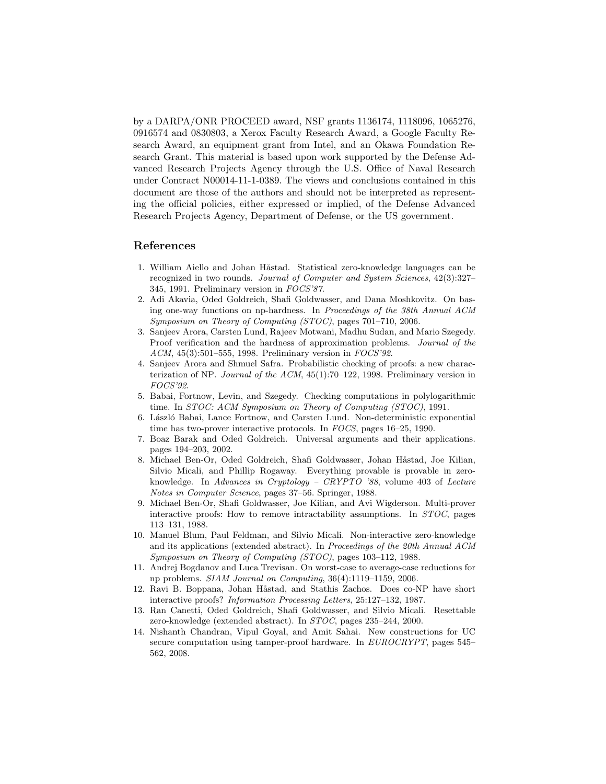by a DARPA/ONR PROCEED award, NSF grants 1136174, 1118096, 1065276, 0916574 and 0830803, a Xerox Faculty Research Award, a Google Faculty Research Award, an equipment grant from Intel, and an Okawa Foundation Research Grant. This material is based upon work supported by the Defense Advanced Research Projects Agency through the U.S. Office of Naval Research under Contract N00014-11-1-0389. The views and conclusions contained in this document are those of the authors and should not be interpreted as representing the official policies, either expressed or implied, of the Defense Advanced Research Projects Agency, Department of Defense, or the US government.

# References

- 1. William Aiello and Johan Håstad. Statistical zero-knowledge languages can be recognized in two rounds. Journal of Computer and System Sciences, 42(3):327– 345, 1991. Preliminary version in FOCS'87.
- 2. Adi Akavia, Oded Goldreich, Shafi Goldwasser, and Dana Moshkovitz. On basing one-way functions on np-hardness. In Proceedings of the 38th Annual ACM Symposium on Theory of Computing (STOC), pages 701–710, 2006.
- 3. Sanjeev Arora, Carsten Lund, Rajeev Motwani, Madhu Sudan, and Mario Szegedy. Proof verification and the hardness of approximation problems. Journal of the ACM, 45(3):501–555, 1998. Preliminary version in FOCS'92.
- 4. Sanjeev Arora and Shmuel Safra. Probabilistic checking of proofs: a new characterization of NP. Journal of the ACM,  $45(1)$ :70–122, 1998. Preliminary version in FOCS'92.
- 5. Babai, Fortnow, Levin, and Szegedy. Checking computations in polylogarithmic time. In STOC: ACM Symposium on Theory of Computing (STOC), 1991.
- 6. L´aszl´o Babai, Lance Fortnow, and Carsten Lund. Non-deterministic exponential time has two-prover interactive protocols. In FOCS, pages 16–25, 1990.
- 7. Boaz Barak and Oded Goldreich. Universal arguments and their applications. pages 194–203, 2002.
- 8. Michael Ben-Or, Oded Goldreich, Shafi Goldwasser, Johan Håstad, Joe Kilian, Silvio Micali, and Phillip Rogaway. Everything provable is provable in zeroknowledge. In Advances in Cryptology – CRYPTO '88, volume 403 of Lecture Notes in Computer Science, pages 37–56. Springer, 1988.
- 9. Michael Ben-Or, Shafi Goldwasser, Joe Kilian, and Avi Wigderson. Multi-prover interactive proofs: How to remove intractability assumptions. In STOC, pages 113–131, 1988.
- 10. Manuel Blum, Paul Feldman, and Silvio Micali. Non-interactive zero-knowledge and its applications (extended abstract). In Proceedings of the 20th Annual ACM Symposium on Theory of Computing (STOC), pages 103–112, 1988.
- 11. Andrej Bogdanov and Luca Trevisan. On worst-case to average-case reductions for np problems. SIAM Journal on Computing, 36(4):1119–1159, 2006.
- 12. Ravi B. Boppana, Johan Håstad, and Stathis Zachos. Does co-NP have short interactive proofs? Information Processing Letters, 25:127–132, 1987.
- 13. Ran Canetti, Oded Goldreich, Shafi Goldwasser, and Silvio Micali. Resettable zero-knowledge (extended abstract). In STOC, pages 235–244, 2000.
- 14. Nishanth Chandran, Vipul Goyal, and Amit Sahai. New constructions for UC secure computation using tamper-proof hardware. In EUROCRYPT, pages 545– 562, 2008.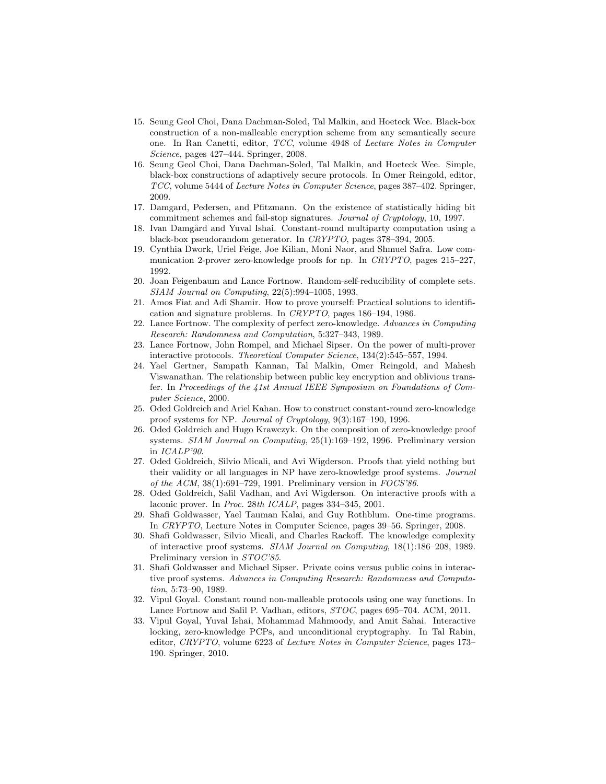- 15. Seung Geol Choi, Dana Dachman-Soled, Tal Malkin, and Hoeteck Wee. Black-box construction of a non-malleable encryption scheme from any semantically secure one. In Ran Canetti, editor, TCC, volume 4948 of Lecture Notes in Computer Science, pages 427–444. Springer, 2008.
- 16. Seung Geol Choi, Dana Dachman-Soled, Tal Malkin, and Hoeteck Wee. Simple, black-box constructions of adaptively secure protocols. In Omer Reingold, editor, TCC, volume 5444 of Lecture Notes in Computer Science, pages 387–402. Springer, 2009.
- 17. Damgard, Pedersen, and Pfitzmann. On the existence of statistically hiding bit commitment schemes and fail-stop signatures. Journal of Cryptology, 10, 1997.
- 18. Ivan Damgård and Yuval Ishai. Constant-round multiparty computation using a black-box pseudorandom generator. In CRYPTO, pages 378–394, 2005.
- 19. Cynthia Dwork, Uriel Feige, Joe Kilian, Moni Naor, and Shmuel Safra. Low communication 2-prover zero-knowledge proofs for np. In CRYPTO, pages 215–227, 1992.
- 20. Joan Feigenbaum and Lance Fortnow. Random-self-reducibility of complete sets. SIAM Journal on Computing, 22(5):994–1005, 1993.
- 21. Amos Fiat and Adi Shamir. How to prove yourself: Practical solutions to identification and signature problems. In CRYPTO, pages 186–194, 1986.
- 22. Lance Fortnow. The complexity of perfect zero-knowledge. Advances in Computing Research: Randomness and Computation, 5:327–343, 1989.
- 23. Lance Fortnow, John Rompel, and Michael Sipser. On the power of multi-prover interactive protocols. Theoretical Computer Science, 134(2):545–557, 1994.
- 24. Yael Gertner, Sampath Kannan, Tal Malkin, Omer Reingold, and Mahesh Viswanathan. The relationship between public key encryption and oblivious transfer. In Proceedings of the 41st Annual IEEE Symposium on Foundations of Computer Science, 2000.
- 25. Oded Goldreich and Ariel Kahan. How to construct constant-round zero-knowledge proof systems for NP. Journal of Cryptology, 9(3):167–190, 1996.
- 26. Oded Goldreich and Hugo Krawczyk. On the composition of zero-knowledge proof systems. SIAM Journal on Computing, 25(1):169–192, 1996. Preliminary version in ICALP'90.
- 27. Oded Goldreich, Silvio Micali, and Avi Wigderson. Proofs that yield nothing but their validity or all languages in NP have zero-knowledge proof systems. Journal of the ACM, 38(1):691–729, 1991. Preliminary version in FOCS'86.
- 28. Oded Goldreich, Salil Vadhan, and Avi Wigderson. On interactive proofs with a laconic prover. In Proc. 28th ICALP, pages 334–345, 2001.
- 29. Shafi Goldwasser, Yael Tauman Kalai, and Guy Rothblum. One-time programs. In CRYPTO, Lecture Notes in Computer Science, pages 39–56. Springer, 2008.
- 30. Shafi Goldwasser, Silvio Micali, and Charles Rackoff. The knowledge complexity of interactive proof systems. SIAM Journal on Computing, 18(1):186–208, 1989. Preliminary version in STOC'85.
- 31. Shafi Goldwasser and Michael Sipser. Private coins versus public coins in interactive proof systems. Advances in Computing Research: Randomness and Computation, 5:73–90, 1989.
- 32. Vipul Goyal. Constant round non-malleable protocols using one way functions. In Lance Fortnow and Salil P. Vadhan, editors, STOC, pages 695–704. ACM, 2011.
- 33. Vipul Goyal, Yuval Ishai, Mohammad Mahmoody, and Amit Sahai. Interactive locking, zero-knowledge PCPs, and unconditional cryptography. In Tal Rabin, editor, CRYPTO, volume 6223 of Lecture Notes in Computer Science, pages 173– 190. Springer, 2010.